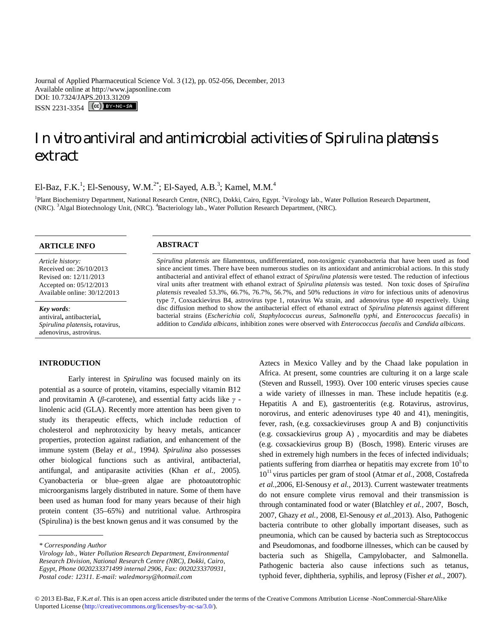Journal of Applied Pharmaceutical Science Vol. 3 (12), pp. 052-056, December, 2013 Available online at http://www.japsonline.com DOI: 10.7324/JAPS.2013.31209 ISSN 2231-3354 (CC) BY-NC-SA

# *In vitro* antiviral and antimicrobial activities of *Spirulina platensis* extract

El-Baz, F.K.<sup>1</sup>; El-Senousy, W.M.<sup>2\*</sup>; El-Sayed, A.B.<sup>3</sup>; Kamel, M.M.<sup>4</sup>

<sup>1</sup>Plant Biochemistry Department, National Research Centre, (NRC), Dokki, Cairo, Egypt. <sup>2</sup>Virology lab., Water Pollution Research Department, (NRC). <sup>3</sup>Algal Biotechnology Unit, (NRC). <sup>4</sup>Bacteriology lab., Water Pollution Research Department, (NRC).

## **ARTICLE INFO ABSTRACT**

*Article history:* Received on: 26/10/2013 Revised on: 12/11/2013 Accepted on: 05/12/2013 Available online: 30/12/2013

*Key words:*  antiviral**,** antibacterial**,**  *Spirulina platensis***,** rotavirus, adenovirus, astrovirus.

### **INTRODUCTION**

Early interest in *Spirulina* was focused mainly on its potential as a source of protein, vitamins, especially vitamin B12 and provitamin A (*β*-carotene), and essential fatty acids like *γ*  linolenic acid (GLA). Recently more attention has been given to study its therapeutic effects, which include reduction of cholesterol and nephrotoxicity by heavy metals, anticancer properties, protection against radiation, and enhancement of the immune system (Belay *et al.,* 1994*). Spirulina* also possesses other biological functions such as antiviral, antibacterial, antifungal, and antiparasite activities (Khan *et al.,* 2005)*.*  Cyanobacteria or blue–green algae are photoautotrophic microorganisms largely distributed in nature. Some of them have been used as human food for many years because of their high protein content (35–65%) and nutritional value. Arthrospira (Spirulina) is the best known genus and it was consumed by the

*Spirulina platensis* are filamentous, undifferentiated, non-toxigenic cyanobacteria that have been used as food since ancient times. There have been numerous studies on its antioxidant and antimicrobial actions. In this study antibacterial and antiviral effect of ethanol extract of *Spirulina platensis* were tested. The reduction of infectious viral units after treatment with ethanol extract of *Spirulina platensis* was tested. Non toxic doses of *Spirulina platensis* revealed 53.3%, 66.7%, 76.7%, 56.7%, and 50% reductions *in vitro* for infectious units of adenovirus type 7, Coxsackievirus B4, astrovirus type 1, rotavirus Wa strain, and adenovirus type 40 respectively. Using

disc diffusion method to show the antibacterial effect of ethanol extract of *Spirulina platensis* against different bacterial strains (*Escherichia coli*, *Staphylococcus aureus*, *Salmonella typhi*, and *Enterococcus faecalis*) in addition to *Candida albicans*, inhibition zones were observed with *Enterococcus faecalis* and *Candida albicans*.

> Aztecs in Mexico Valley and by the Chaad lake population in Africa. At present, some countries are culturing it on a large scale (Steven and Russell, 1993). Over 100 enteric viruses species cause a wide variety of illnesses in man. These include hepatitis (e.g. Hepatitis A and E), gastroenteritis (e.g. Rotavirus, astrovirus, norovirus, and enteric adenoviruses type 40 and 41), meningitis, fever, rash, (e.g. coxsackieviruses group A and B) conjunctivitis (e.g. coxsackievirus group A) , myocarditis and may be diabetes (e.g. coxsackievirus group B) (Bosch, 1998). Enteric viruses are shed in extremely high numbers in the feces of infected individuals; patients suffering from diarrhea or hepatitis may excrete from  $10<sup>5</sup>$  to 10<sup>11</sup> virus particles per gram of stool (Atmar *et al.,* 2008, Costafreda *et al.,*2006, El-Senousy *et al.,* 2013). Current wastewater treatments do not ensure complete virus removal and their transmission is through contaminated food or water (Blatchley *et al.,* 2007, Bosch, 2007, Ghazy *et al.,* 2008, El-Senousy *et al.,*2013). Also, Pathogenic bacteria contribute to other globally important diseases, such as pneumonia, which can be caused by bacteria such as Streptococcus and Pseudomonas, and foodborne illnesses, which can be caused by bacteria such as Shigella, Campylobacter, and Salmonella. Pathogenic bacteria also cause infections such as tetanus, typhoid fever, diphtheria, syphilis, and leprosy (Fisher *et al.,* 2007).

*<sup>\*</sup> Corresponding Author*

*Virology lab., Water Pollution Research Department, Environmental Research Division, National Research Centre (NRC), Dokki, Cairo, Egypt, Phone 0020233371499 internal 2906, Fax: 0020233370931, Postal code: 12311. E-mail: waledmorsy@hotmail.com*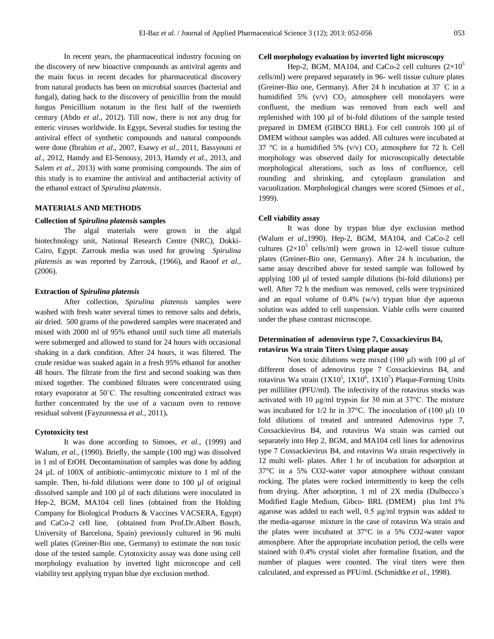In recent years, the pharmaceutical industry focusing on the discovery of new bioactive compounds as antiviral agents and the main focus in recent decades for pharmaceutical discovery from natural products has been on microbial sources (bacterial and fungal), dating back to the discovery of penicillin from the mould fungus Penicillium notatum in the first half of the twentieth century (Abdo *et al*., 2012). Till now, there is not any drug for enteric viruses worldwide. In Egypt, Several studies for testing the antiviral effect of synthetic compounds and natural compounds were done (Ibrahim *et al*., 2007, Esawy *et al*., 2011, Bassyouni *et al*., 2012, Hamdy and El-Senousy, 2013, Hamdy *et al*., 2013, and Salem *et al*., 2013) with some promising compounds. The aim of this study is to examine the antiviral and antibacterial activity of the ethanol extract of *Spirulina platensis*.

## **MATERIALS AND METHODS**

## **Collection of** *Spirulina platensis* **samples**

The algal materials were grown in the algal biotechnology unit, National Research Centre (NRC), Dokki-Cairo, Egypt. Zarrouk media was used for growing *Spirulina platensis* as was reported by Zarrouk, (1966), and Raoof *et al.,*  (2006).

## **Extraction of** *Spirulina platensis*

After collection, *Spirulina platensis* samples were washed with fresh water several times to remove salts and debris, air dried. 500 grams of the powdered samples were macerated and mixed with 2000 ml of 95% ethanol until such time all materials were submerged and allowed to stand for 24 hours with occasional shaking in a dark condition. After 24 hours, it was filtered. The crude residue was soaked again in a fresh 95% ethanol for another 48 hours. The filtrate from the first and second soaking was then mixed together. The combined filtrates were concentrated using rotary evaporator at 50˚C. The resulting concentrated extract was further concentrated by the use of a vacuum oven to remove residual solvent (Fayzunnessa *et al.,* 2011)**.**

#### **Cytotoxicity test**

It was done according to Simoes, *et al.,* (1999) and Walum, *et al.*, (1990). Briefly, the sample (100 mg) was dissolved in 1 ml of EtOH. Decontamination of samples was done by adding 24 µL of 100X of antibiotic–antimycotic mixture to 1 ml of the sample. Then, bi-fold dilutions were done to 100 µl of original dissolved sample and 100 µl of each dilutions were inoculated in Hep-2, BGM, MA104 cell lines (obtained from the Holding Company for Biological Products & Vaccines VACSERA, Egypt) and CaCo-2 cell line, (obtained from Prof.Dr.Albert Bosch, University of Barcelona, Spain) previously cultured in 96 multi well plates (Greiner-Bio one, Germany) to estimate the non toxic dose of the tested sample. Cytotoxicity assay was done using cell morphology evaluation by inverted light microscope and cell viability test applying trypan blue dye exclusion method.

## **Cell morphology evaluation by inverted light microscopy**

Hep-2, BGM, MA104, and CaCo-2 cell cultures  $(2\times10^5$ cells/ml) were prepared separately in 96- well tissue culture plates (Greiner-Bio one, Germany). After 24 h incubation at 37 ◦C in a humidified 5% (v/v)  $CO<sub>2</sub>$  atmosphere cell monolayers were confluent, the medium was removed from each well and replenished with 100 µl of bi-fold dilutions of the sample tested prepared in DMEM (GIBCO BRL). For cell controls 100 µl of DMEM without samples was added. All cultures were incubated at 37 °C in a humidified 5% (v/v)  $CO<sub>2</sub>$  atmosphere for 72 h. Cell morphology was observed daily for microscopically detectable morphological alterations, such as loss of confluence, cell rounding and shrinking, and cytoplasm granulation and vacuolization. Morphological changes were scored (Simoes *et al.,*  1999).

## **Cell viability assay**

It was done by trypan blue dye exclusion method (Walum *et al*.,1990). Hep-2, BGM, MA104, and CaCo-2 cell cultures  $(2\times10^5 \text{ cells/ml})$  were grown in 12-well tissue culture plates (Greiner-Bio one, Germany). After 24 h incubation, the same assay described above for tested sample was followed by applying 100 µl of tested sample dilutions (bi-fold dilutions) per well. After 72 h the medium was removed, cells were trypsinized and an equal volume of 0.4% (w/v) trypan blue dye aqueous solution was added to cell suspension. Viable cells were counted under the phase contrast microscope.

## **Determination of adenovirus type 7, Coxsackievirus B4, rotavirus Wa strain Titers Using plaque assay**

Non toxic dilutions were mixed (100 μl) with 100 μl of different doses of adenovirus type 7 Coxsackievirus B4, and rotavirus Wa strain  $(1X10^5, 1X10^6, 1X10^7)$  Plaque-Forming Units per milliliter (PFU/ml). The infectivity of the rotavirus stocks was activated with 10 μg/ml trypsin for 30 min at 37°C. The mixture was incubated for  $1/2$  hr in 37°C. The inoculation of (100  $\mu$ l) 10 fold dilutions of treated and untreated Adenovirus type 7, Coxsackievirus B4, and rotavirus Wa strain was carried out separately into Hep 2, BGM, and MA104 cell lines for adenovirus type 7 Coxsackievirus B4, and rotavirus Wa strain respectively in 12 multi well- plates. After 1 hr of incubation for adsorption at 37°C in a 5% CO2-water vapor atmosphere without constant rocking. The plates were rocked intermittently to keep the cells from drying. After adsorption, 1 ml of 2X media (Dulbecco΄s Modified Eagle Medium, Gibco- BRL (DMEM) plus 1ml 1% agarose was added to each well, 0.5 μg/ml trypsin was added to the media-agarose mixture in the case of rotavirus Wa strain and the plates were incubated at 37°C in a 5% CO2-water vapor atmosphere. After the appropriate incubation period, the cells were stained with 0.4% crystal violet after formaline fixation, and the number of plaques were counted. The viral titers were then calculated, and expressed as PFU/ml. (Schmidtke *et al.,* 1998).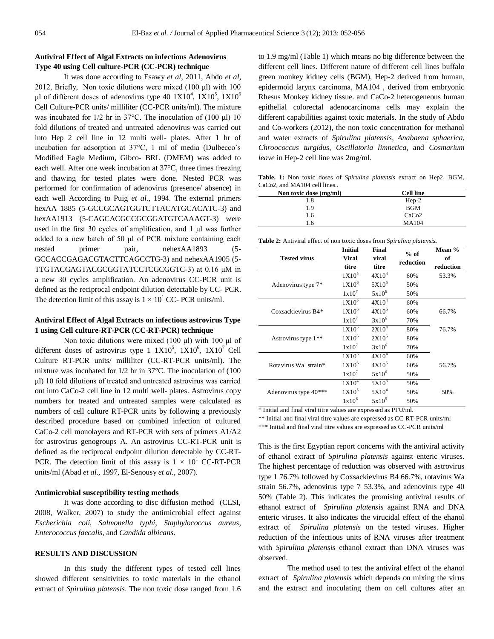## **Antiviral Effect of Algal Extracts on infectious Adenovirus Type 40 using Cell culture-PCR (CC-PCR) technique**

It was done according to Esawy *et al*, 2011, Abdo *et al*, 2012, Briefly, Non toxic dilutions were mixed (100 μl) with 100 μl of different doses of adenovirus type 40  $1X10^4$ ,  $1X10^5$ ,  $1X10^6$ Cell Culture-PCR units/ milliliter (CC-PCR units/ml). The mixture was incubated for 1/2 hr in 37°C. The inoculation of (100 μl) 10 fold dilutions of treated and untreated adenovirus was carried out into Hep 2 cell line in 12 multi well- plates. After 1 hr of incubation for adsorption at 37°C, 1 ml of media (Dulbecco΄s Modified Eagle Medium, Gibco- BRL (DMEM) was added to each well. After one week incubation at 37°C, three times freezing and thawing for tested plates were done. Nested PCR was performed for confirmation of adenovirus (presence/ absence) in each well According to Puig *et al.,* 1994. The external primers hexAA 1885 (5-GCCGCAGTGGTCTTACATGCACATC-3) and hexAA1913 (5-CAGCACGCCGCGGATGTCAAAGT-3) were used in the first 30 cycles of amplification, and 1 μl was further added to a new batch of 50 μl of PCR mixture containing each nested primer pair, nehexAA1893 (5-GCCACCGAGACGTACTTCAGCCTG-3) and nehexAA1905 (5- TTGTACGAGTACGCGGTATCCTCGCGGTC-3) at 0.16 μM in a new 30 cycles amplification. An adenovirus CC-PCR unit is defined as the reciprocal endpoint dilution detectable by CC- PCR. The detection limit of this assay is  $1 \times 10^1$  CC- PCR units/ml.

## **Antiviral Effect of Algal Extracts on infectious astrovirus Type 1 using Cell culture-RT-PCR (CC-RT-PCR) technique**

Non toxic dilutions were mixed (100 μl) with 100 μl of different doses of astrovirus type  $1 \frac{1 \text{ X}}{10^5}$ ,  $1 \text{ X} 10^6$ ,  $1 \text{ X} 10^7$  Cell Culture RT-PCR units/ milliliter (CC-RT-PCR units/ml). The mixture was incubated for 1/2 hr in 37°C. The inoculation of (100 μl) 10 fold dilutions of treated and untreated astrovirus was carried out into CaCo-2 cell line in 12 multi well- plates. Astrovirus copy numbers for treated and untreated samples were calculated as numbers of cell culture RT-PCR units by following a previously described procedure based on combined infection of cultured CaCo-2 cell monolayers and RT-PCR with sets of primers A1/A2 for astrovirus genogroups A. An astrovirus CC-RT-PCR unit is defined as the reciprocal endpoint dilution detectable by CC-RT-PCR. The detection limit of this assay is  $1 \times 10^{1}$  CC-RT-PCR units/ml (Abad *et al.,* 1997, El-Senousy *et al.,* 2007).

## **Antimicrobial susceptibility testing methods**

It was done according to disc diffusion method (CLSI, 2008, Walker, 2007) to study the antimicrobial effect against *Escherichia coli, Salmonella typhi, Staphylococcus aureus, Enterococcus faecalis,* and *Candida albicans*.

## **RESULTS AND DISCUSSION**

In this study the different types of tested cell lines showed different sensitivities to toxic materials in the ethanol extract of *Spirulina platensis*. The non toxic dose ranged from 1.6

to 1.9 mg/ml (Table 1) which means no big difference between the different cell lines. Different nature of different cell lines buffalo green monkey kidney cells (BGM), Hep-2 derived from human, epidermoid larynx carcinoma, MA104 , derived from embryonic Rhesus Monkey kidney tissue. and CaCo-2 heterogeneous human epithelial colorectal adenocarcinoma cells may explain the different capabilities against toxic materials. In the study of Abdo and Co-workers (2012), the non toxic concentration for methanol and water extracts of *Spirulina platensis*, *Anabaena sphaerica, Chroococcus turgidus*, *Oscillatoria limnetica*, and *Cosmarium leave* in Hep-2 cell line was 2mg/ml.

**Table. 1:** Non toxic doses of *Spirulina platensis* extract on Hep2, BGM, CaCo2, and MA104 cell lines..

| Non toxic dose (mg/ml) | <b>Cell line</b>  |  |
|------------------------|-------------------|--|
| 1.8                    | $Hep-2$           |  |
| 1.9                    | <b>BGM</b>        |  |
| 1.6                    | CaCo <sub>2</sub> |  |
| 1.6                    | <b>MA104</b>      |  |

**Table 2:** Antiviral effect of non toxic doses from *Spirulina platensis.*

|                       | <b>Initial</b>    | Final             | $%$ of    | Mean $%$  |
|-----------------------|-------------------|-------------------|-----------|-----------|
| <b>Tested virus</b>   | <b>Viral</b>      | viral             | reduction | of        |
|                       | titre             | titre             |           | reduction |
|                       | 1X10 <sup>5</sup> | $4X10^4$          | 60%       | 53.3%     |
| Adenovirus type 7*    | 1X10 <sup>6</sup> | $5X10^5$          | 50%       |           |
|                       | $1x10^7$          | $5x10^6$          | 50%       |           |
|                       | 1X10 <sup>5</sup> | 4X10 <sup>4</sup> | 60%       |           |
| Coxsackievirus B4*    | 1X10 <sup>6</sup> | $4X10^5$          | 60%       | 66.7%     |
|                       | $1x10^7$          | $3x10^6$          | 70%       |           |
|                       | 1X10 <sup>5</sup> | $2X10^4$          | 80%       | 76.7%     |
| Astrovirus type $1**$ | 1X10 <sup>6</sup> | $2X10^5$          | 80%       |           |
|                       | $1x10^7$          | $3x10^6$          | 70%       |           |
|                       | 1X10 <sup>5</sup> | $4X10^4$          | 60%       |           |
| Rotavirus Wa strain*  | 1X10 <sup>6</sup> | $4X10^5$          | 60%       | 56.7%     |
|                       | $1x10^7$          | $5x10^6$          | 50%       |           |
|                       | 1X10 <sup>4</sup> | $5X10^3$          | 50%       |           |
| Adenovirus type 40*** | 1X10 <sup>5</sup> | 5X10 <sup>4</sup> | 50%       | 50%       |
|                       | 1x10 <sup>6</sup> | $5x10^5$          | 50%       |           |

\* Initial and final viral titre values are expressed as PFU/ml.

\*\* Initial and final viral titre values are expressed as CC-RT-PCR units/ml

\*\*\* Initial and final viral titre values are expressed as CC-PCR units/ml

This is the first Egyptian report concerns with the antiviral activity of ethanol extract of *Spirulina platensis* against enteric viruses. The highest percentage of reduction was observed with astrovirus type 1 76.7% followed by Coxsackievirus B4 66.7%, rotavirus Wa strain 56.7%, adenovirus type 7 53.3%, and adenovirus type 40 50% (Table 2). This indicates the promising antiviral results of ethanol extract of *Spirulina platensis* against RNA and DNA enteric viruses. It also indicates the virucidal effect of the ehanol extract of *Spirulina platensis* on the tested viruses. Higher reduction of the infectious units of RNA viruses after treatment with *Spirulina platensis* ethanol extract than DNA viruses was observed.

The method used to test the antiviral effect of the ehanol extract of *Spirulina platensis* which depends on mixing the virus and the extract and inoculating them on cell cultures after an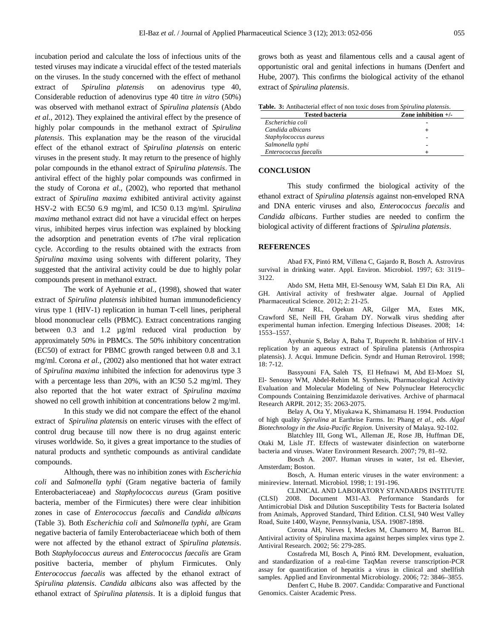incubation period and calculate the loss of infectious units of the tested viruses may indicate a virucidal effect of the tested materials on the viruses. In the study concerned with the effect of methanol extract of *Spirulina platensis* on adenovirus type 40, Considerable reduction of adenovirus type 40 titre *in vitro* (50%) was observed with methanol extract of *Spirulina platensis* (Abdo *et al.,* 2012). They explained the antiviral effect by the presence of highly polar compounds in the methanol extract of *Spirulina platensis*. This explanation may be the reason of the virucidal effect of the ethanol extract of *Spirulina platensis* on enteric viruses in the present study. It may return to the presence of highly polar compounds in the ethanol extract of *Spirulina platensis*. The antiviral effect of the highly polar compounds was confirmed in the study of Corona *et al.,* (2002), who reported that methanol extract of *Spirulina maxima* exhibited antiviral activity against HSV-2 with EC50 6.9 mg/ml, and IC50 0.13 mg/ml. *Spirulina maxima* methanol extract did not have a virucidal effect on herpes virus, inhibited herpes virus infection was explained by blocking the adsorption and penetration events of t7he viral replication cycle. According to the results obtained with the extracts from *Spirulina maxima* using solvents with different polarity, They suggested that the antiviral activity could be due to highly polar compounds present in methanol extract.

The work of Ayehunie *et al.,* (1998), showed that water extract of *Spirulina platensis* inhibited human immunodeficiency virus type 1 (HIV-1) replication in human T-cell lines, peripheral blood mononuclear cells (PBMC). Extract concentrations ranging between 0.3 and 1.2 µg/ml reduced viral production by approximately 50% in PBMCs. The 50% inhibitory concentration (EC50) of extract for PBMC growth ranged between 0.8 and 3.1 mg/ml. Corona *et al.,* (2002) also mentioned that hot water extract of *Spirulina maxima* inhibited the infection for adenovirus type 3 with a percentage less than 20%, with an IC50 5.2 mg/ml. They also reported that the hot water extract of *Spirulina maxima* showed no cell growth inhibition at concentrations below 2 mg/ml.

In this study we did not compare the effect of the ehanol extract of *Spirulina platensis* on enteric viruses with the effect of control drug because till now there is no drug against enteric viruses worldwide. So, it gives a great importance to the studies of natural products and synthetic compounds as antiviral candidate compounds.

Although, there was no inhibition zones with *Escherichia coli* and *Salmonella typhi* (Gram negative bacteria of family Enterobacteriaceae) and *Staphylococcus aureus* (Gram positive bacteria, member of the Firmicutes) there were clear inhibition zones in case of *Enterococcus faecalis* and *Candida albicans* (Table 3). Both *Escherichia coli* and *Salmonella typhi*, are Gram negative bacteria of family Enterobacteriaceae which both of them were not affected by the ethanol extract of *Spirulina platensis*. Both *Staphylococcus aureus* and *Enterococcus faecalis* are Gram positive bacteria, member of phylum Firmicutes. Only *Enterococcus faecalis* was affected by the ethanol extract of *Spirulina platensis*. *Candida albicans* also was affected by the ethanol extract of *Spirulina platensis*. It is a diploid fungus that grows both as yeast and filamentous cells and a causal agent of opportunistic oral and genital infections in humans (Denfert and Hube, 2007). This confirms the biological activity of the ethanol extract of *Spirulina platensis*.

| <b>Tested bacteria</b> | Zone inhibition $+/-$ |  |
|------------------------|-----------------------|--|
| Escherichia coli       |                       |  |
| Candida albicans       |                       |  |
| Staphylococcus aureus  |                       |  |
| Salmonella typhi       |                       |  |
| Enterococcus faecalis  |                       |  |

#### **CONCLUSION**

This study confirmed the biological activity of the ethanol extract of *Spirulina platensis* against non-enveloped RNA and DNA enteric viruses and also, *Enterococcus faecalis* and *Candida albicans*. Further studies are needed to confirm the biological activity of different fractions of *Spirulina platensis*.

### **REFERENCES**

Abad FX, Pintó RM, Villena C, Gajardo R, Bosch A. Astrovirus survival in drinking water. Appl. Environ. Microbiol. 1997; 63: 3119– 3122.

Abdo SM, Hetta MH, El-Senousy WM, Salah El Din RA, Ali GH. Antiviral activity of freshwater algae. Journal of Applied Pharmaceutical Science. 2012; 2: 21-25.

Atmar RL, Opekun AR, Gilger MA, Estes MK, Crawford SE, Neill FH, Graham DY. Norwalk virus shedding after experimental human infection. Emerging Infectious Diseases. 2008; 14: 1553–1557.

Ayehunie S, Belay A, Baba T, Ruprecht R. Inhibition of HIV-1 replication by an aqueous extract of Spirulina platensis (Arthrospira platensis). J. Acqui. Immune Deficin. Syndr and Human Retrovirol. 1998; 18: 7-12.

Bassyouni FA, Saleh TS, El Hefnawi M, Abd El-Moez SI, El- Senousy WM, Abdel-Rehim M. Synthesis, Pharmacological Activity Evaluation and Molecular Modeling of New Polynuclear Heterocyclic Compounds Containing Benzimidazole derivatives. Archive of pharmacal Research ARPR. 2012; 35: 2063-2075.

Belay A, Ota Y, Miyakawa K, Shimamatsu H. 1994. Production of high quality *Spirulina* at Earthrise Farms. In: Phang *et al.,* eds. *Algal Biotechnology in the Asia-Pacific Region.* University of Malaya. 92-102.

Blatchley III, Gong WL, Alleman JE, Rose JB, Huffman DE, Otaki M, Lisle JT. Effects of wastewater disinfection on waterborne bacteria and viruses. Water Environment Research. 2007; 79, 81–92.

Bosch A. 2007. Human viruses in water, 1st ed. Elsevier, Amsterdam; Boston.

Bosch, A. Human enteric viruses in the water environment: a minireview. Internatl. Microbiol. 1998; 1: 191-196.

CLINICAL AND LABORATORY STANDARDS INSTITUTE (CLSI) 2008. Document M31-A3. Performance Standards for Antimicrobial Disk and Dilution Susceptibility Tests for Bacteria Isolated from Animals, Approved Standard, Third Edition. CLSI, 940 West Valley Road, Suite 1400, Wayne, Pennsylvania, USA. 19087-1898.

Corona AH, Nieves I, Meckes M, Chamorro M, Barron BL. Antiviral activity of Spirulina maxima against herpes simplex virus type 2. Antiviral Research. 2002; 56: 279-285.

Costafreda MI, Bosch A, Pintó RM. Development, evaluation, and standardization of a real-time TaqMan reverse transcription-PCR assay for quantification of hepatitis a virus in clinical and shellfish samples. Applied and Environmental Microbiology. 2006; 72: 3846–3855.

Denfert C, Hube B. 2007. Candida: Comparative and Functional Genomics. Caister Academic Press.